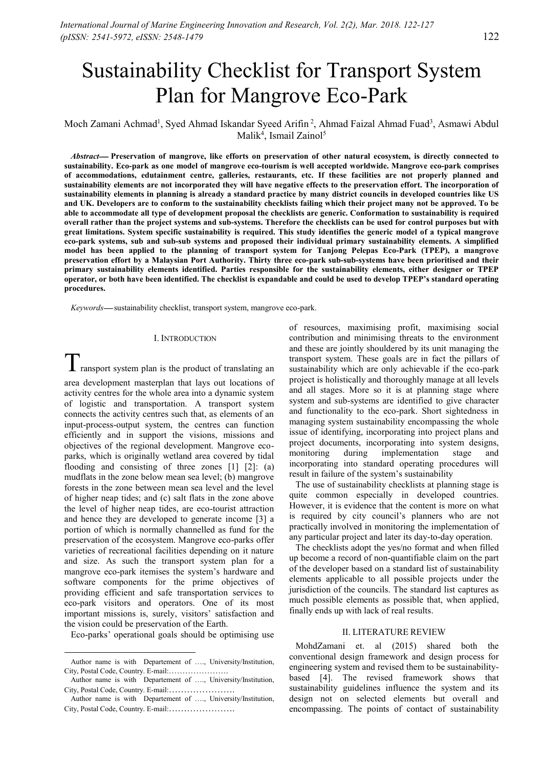# Sustainability Checklist for Transport System Plan for Mangrove Eco-Park

Moch Zamani Achmad<sup>1</sup>, Syed Ahmad Iskandar Syeed Arifin<sup>2</sup>, Ahmad Faizal Ahmad Fuad<sup>3</sup>, Asmawi Abdul Malik<sup>4</sup>, Ismail Zainol<sup>5</sup>

*Abstract* **Preservation of mangrove, like efforts on preservation of other natural ecosystem, is directly connected to sustainability. Eco-park as one model of mangrove eco-tourism is well accepted worldwide. Mangrove eco-park comprises of accommodations, edutainment centre, galleries, restaurants, etc. If these facilities are not properly planned and sustainability elements are not incorporated they will have negative effects to the preservation effort. The incorporation of sustainability elements in planning is already a standard practice by many district councils in developed countries like US and UK. Developers are to conform to the sustainability checklists failing which their project many not be approved. To be able to accommodate all type of development proposal the checklists are generic. Conformation to sustainability is required overall rather than the project systems and sub-systems. Therefore the checklists can be used for control purposes but with great limitations. System specific sustainability is required. This study identifies the generic model of a typical mangrove eco-park systems, sub and sub-sub systems and proposed their individual primary sustainability elements. A simplified model has been applied to the planning of transport system for Tanjong Pelepas Eco-Park (TPEP), a mangrove preservation effort by a Malaysian Port Authority. Thirty three eco-park sub-sub-systems have been prioritised and their primary sustainability elements identified. Parties responsible for the sustainability elements, either designer or TPEP operator, or both have been identified. The checklist is expandable and could be used to develop TPEP's standard operating procedures.**

*Keywords*—sustainability checklist, transport system, mangrove eco-park.

### I. INTRODUCTION<sup>1</sup>

 $\mathbf I$  ransport system plan is the product of translating an

area development masterplan that lays out locations of activity centres for the whole area into a dynamic system of logistic and transportation. A transport system connects the activity centres such that, as elements of an input-process-output system, the centres can function efficiently and in support the visions, missions and objectives of the regional development. Mangrove eco-<br>narks, which is originally wetland area covered by tidal monitoring parks, which is originally wetland area covered by tidal flooding and consisting of three zones [1] [2]: (a) mudflats in the zone below mean sea level; (b) mangrove forests in the zone between mean sea level and the level of higher neap tides; and (c) salt flats in the zone above the level of higher neap tides, are eco-tourist attraction and hence they are developed to generate income [3] a portion of which is normally channelled as fund for the preservation of the ecosystem. Mangrove eco-parks offer varieties of recreational facilities depending on it nature and size. As such the transport system plan for a mangrove eco-park itemises the system's hardware and software components for the prime objectives of providing efficient and safe transportation services to eco-park visitors and operators. One of its most important missions is, surely, visitors' satisfaction and the vision could be preservation of the Earth.

Eco-parks' operational goals should be optimising use

of resources, maximising profit, maximising social contribution and minimising threats to the environment and these are jointly shouldered by its unit managing the transport system. These goals are in fact the pillars of sustainability which are only achievable if the eco-park project is holistically and thoroughly manage at all levels and all stages. More so it is at planning stage where system and sub-systems are identified to give character and functionality to the eco-park. Short sightedness in managing system sustainability encompassing the whole issue of identifying, incorporating into project plans and project documents, incorporating into system designs, during implementation stage and incorporating into standard operating procedures will result in failure of the system's sustainability

The use of sustainability checklists at planning stage is quite common especially in developed countries. However, it is evidence that the content is more on what is required by city council's planners who are not practically involved in monitoring the implementation of any particular project and later its day-to-day operation.

The checklists adopt the yes/no format and when filled up become a record of non-quantifiable claim on the part of the developer based on a standard list of sustainability elements applicable to all possible projects under the jurisdiction of the councils. The standard list captures as much possible elements as possible that, when applied, finally ends up with lack of real results.

## II. LITERATURE REVIEW

MohdZamani et. al (2015) shared both the conventional design framework and design process for engineering system and revised them to be sustainability based [4]. The revised framework shows that sustainability guidelines influence the system and its design not on selected elements but overall and encompassing. The points of contact of sustainability

Author name is with Departement of …., University/Institution, City, Postal Code, Country. E-mail:………………….

Author name is with Departement of …., University/Institution, City, Postal Code, Country. E-mail:………………….

Author name is with Departement of …., University/Institution, City, Postal Code, Country. E-mail:………………….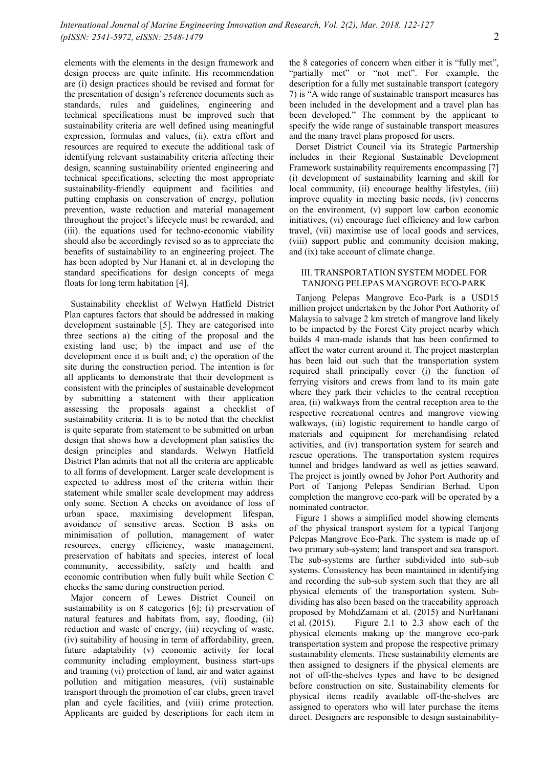elements with the elements in the design framework and design process are quite infinite. His recommendation are (i) design practices should be revised and format for the presentation of design's reference documents such as standards, rules and guidelines, engineering and technical specifications must be improved such that sustainability criteria are well defined using meaningful expression, formulas and values, (ii). extra effort and resources are required to execute the additional task of identifying relevant sustainability criteria affecting their design, scanning sustainability oriented engineering and technical specifications, selecting the most appropriate sustainability-friendly equipment and facilities and putting emphasis on conservation of energy, pollution prevention, waste reduction and material management throughout the project's lifecycle must be rewarded, and (iii). the equations used for techno-economic viability should also be accordingly revised so as to appreciate the benefits of sustainability to an engineering project. The has been adopted by Nur Hanani et. al in developing the standard specifications for design concepts of mega floats for long term habitation [4].

Sustainability checklist of Welwyn Hatfield District Plan captures factors that should be addressed in making development sustainable [5]. They are categorised into three sections a) the citing of the proposal and the existing land use; b) the impact and use of the development once it is built and; c) the operation of the site during the construction period. The intention is for all applicants to demonstrate that their development is consistent with the principles of sustainable development by submitting a statement with their application assessing the proposals against a checklist of sustainability criteria. It is to be noted that the checklist is quite separate from statement to be submitted on urban design that shows how a development plan satisfies the design principles and standards. Welwyn Hatfield District Plan admits that not all the criteria are applicable to all forms of development. Larger scale development is expected to address most of the criteria within their statement while smaller scale development may address only some. Section A checks on avoidance of loss of urban space, maximising development lifespan, avoidance of sensitive areas. Section B asks on minimisation of pollution, management of water resources, energy efficiency, waste management, preservation of habitats and species, interest of local community, accessibility, safety and health and economic contribution when fully built while Section C checks the same during construction period.

Major concern of Lewes District Council on sustainability is on 8 categories [6]; (i) preservation of natural features and habitats from, say, flooding, (ii)  $\frac{\text{preposed by } \text{at } n}{\text{et } \text{at } (2015)}$ reduction and waste of energy, (iii) recycling of waste, (iv) suitability of housing in term of affordability, green, future adaptability (v) economic activity for local community including employment, business start-ups and training (vi) protection of land, air and water against pollution and mitigation measures, (vii) sustainable transport through the promotion of car clubs, green travel plan and cycle facilities, and (viii) crime protection. Applicants are guided by descriptions for each item in

the 8 categories of concern when either it is "fully met", "partially met" or "not met". For example, the description for a fully met sustainable transport (category 7) is "A wide range of sustainable transport measures has been included in the development and a travel plan has been developed." The comment by the applicant to specify the wide range of sustainable transport measures and the many travel plans proposed for users.

Dorset District Council via its Strategic Partnership includes in their Regional Sustainable Development Framework sustainability requirements encompassing [7] (i) development of sustainability learning and skill for local community, (ii) encourage healthy lifestyles, (iii) improve equality in meeting basic needs, (iv) concerns on the environment, (v) support low carbon economic initiatives, (vi) encourage fuel efficiency and low carbon travel, (vii) maximise use of local goods and services, (viii) support public and community decision making, and (ix) take account of climate change.

## III. TRANSPORTATION SYSTEM MODEL FOR TANJONG PELEPAS MANGROVE ECO-PARK

Tanjong Pelepas Mangrove Eco-Park is a USD15 million project undertaken by the Johor Port Authority of Malaysia to salvage 2 km stretch of mangrove land likely to be impacted by the Forest City project nearby which builds 4 man-made islands that has been confirmed to affect the water current around it. The project masterplan has been laid out such that the transportation system required shall principally cover (i) the function of ferrying visitors and crews from land to its main gate where they park their vehicles to the central reception area, (ii) walkways from the central reception area to the respective recreational centres and mangrove viewing walkways, (iii) logistic requirement to handle cargo of materials and equipment for merchandising related activities, and (iv) transportation system for search and rescue operations. The transportation system requires tunnel and bridges landward as well as jetties seaward. The project is jointly owned by Johor Port Authority and Port of Tanjong Pelepas Sendirian Berhad. Upon completion the mangrove eco-park will be operated by a nominated contractor.

Figure 1 shows a simplified model showing elements of the physical transport system for a typical Tanjong Pelepas Mangrove Eco-Park. The system is made up of two primary sub-system; land transport and sea transport. The sub-systems are further subdivided into sub-sub systems. Consistency has been maintained in identifying and recording the sub-sub system such that they are all physical elements of the transportation system. Sub dividing has also been based on the traceability approach proposed by MohdZamani et al. (2015) and NurHanani Figure 2.1 to 2.3 show each of the physical elements making up the mangrove eco-park transportation system and propose the respective primary sustainability elements. These sustainability elements are then assigned to designers if the physical elements are not of off-the-shelves types and have to be designed before construction on site. Sustainability elements for physical items readily available off-the-shelves are assigned to operators who will later purchase the items direct. Designers are responsible to design sustainability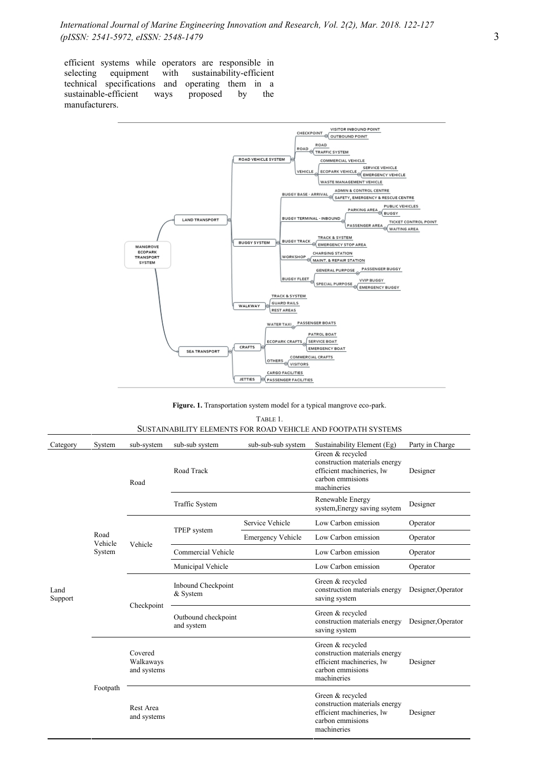efficient systems while operators are responsible in selecting equipment with sustainability-efficient technical specifications and operating them in a sustainable-efficient ways proposed by the manufacturers.



**Figure. 1.** Transportation system model for a typical mangrove eco-park.

| Table 1                                                       |  |
|---------------------------------------------------------------|--|
| SUSTAINABILITY ELEMENTS FOR ROAD VEHICLE AND FOOTPATH SYSTEMS |  |

| Category        | System                    | sub-system                          | sub-sub system                    | sub-sub-sub system       | Sustainability Element (Eg)                                                                                       | Party in Charge    |
|-----------------|---------------------------|-------------------------------------|-----------------------------------|--------------------------|-------------------------------------------------------------------------------------------------------------------|--------------------|
| Land<br>Support | Road<br>Vehicle<br>System | Road                                | Road Track                        |                          | Green & recycled<br>construction materials energy<br>efficient machineries, lw<br>carbon emmisions<br>machineries | Designer           |
|                 |                           |                                     | <b>Traffic System</b>             |                          | Renewable Energy<br>system, Energy saving ssytem                                                                  | Designer           |
|                 |                           | Vehicle                             | TPEP system                       | Service Vehicle          | Low Carbon emission                                                                                               | Operator           |
|                 |                           |                                     |                                   | <b>Emergency Vehicle</b> | Low Carbon emission                                                                                               | Operator           |
|                 |                           |                                     | Commercial Vehicle                |                          | Low Carbon emission                                                                                               | Operator           |
|                 |                           |                                     | Municipal Vehicle                 |                          | Low Carbon emission                                                                                               | Operator           |
|                 |                           | Checkpoint                          | Inbound Checkpoint<br>& System    |                          | Green & recycled<br>construction materials energy<br>saving system                                                | Designer, Operator |
|                 |                           |                                     | Outbound checkpoint<br>and system |                          | Green & recycled<br>construction materials energy<br>saving system                                                | Designer, Operator |
|                 | Footpath                  | Covered<br>Walkaways<br>and systems |                                   |                          | Green & recycled<br>construction materials energy<br>efficient machineries, lw<br>carbon emmisions<br>machineries | Designer           |
|                 |                           | Rest Area<br>and systems            |                                   |                          | Green & recycled<br>construction materials energy<br>efficient machineries, lw<br>carbon emmisions<br>machineries | Designer           |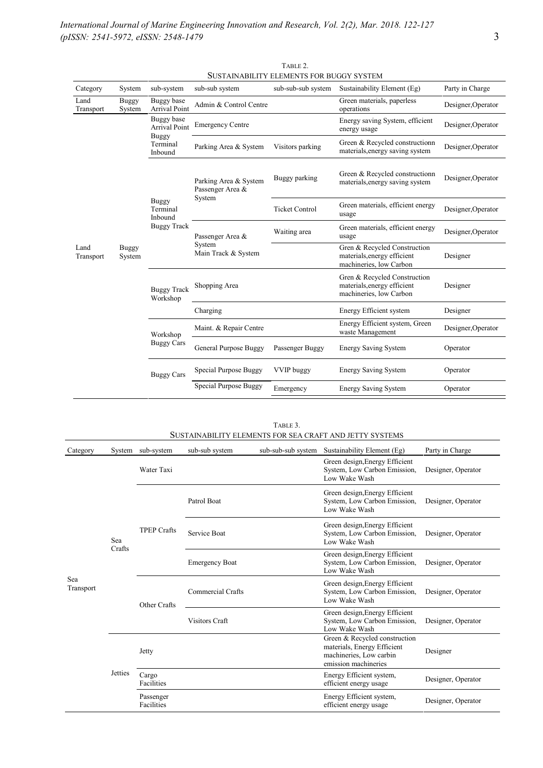|                        |                                                           |                                                     |                         | OOSTAINADILITTELEMENTSTON DOOOT STSTEM                                                 |                                                 |                    |
|------------------------|-----------------------------------------------------------|-----------------------------------------------------|-------------------------|----------------------------------------------------------------------------------------|-------------------------------------------------|--------------------|
| System                 |                                                           | sub-sub system                                      |                         |                                                                                        | Party in Charge                                 |                    |
| <b>Buggy</b><br>System | Buggy base<br>Arrival Point                               | Admin & Control Centre                              |                         | Green materials, paperless<br>operations                                               | Designer, Operator                              |                    |
| <b>Buggy</b><br>System |                                                           | Buggy base<br><b>Arrival Point</b>                  | <b>Emergency Centre</b> |                                                                                        | Energy saving System, efficient<br>energy usage | Designer, Operator |
|                        | Terminal<br>Inbound                                       | Parking Area & System                               | Visitors parking        | Green & Recycled constructionn<br>materials, energy saving system                      | Designer, Operator                              |                    |
|                        | <b>Buggy</b><br>Terminal<br>Inbound<br><b>Buggy Track</b> | Parking Area & System<br>Passenger Area &<br>System | Buggy parking           | Green & Recycled constructionn<br>materials, energy saving system                      | Designer, Operator                              |                    |
|                        |                                                           |                                                     | <b>Ticket Control</b>   | Green materials, efficient energy<br>usage                                             | Designer, Operator                              |                    |
|                        |                                                           | Passenger Area &<br>System<br>Main Track & System   | Waiting area            | Green materials, efficient energy<br>usage                                             | Designer, Operator                              |                    |
|                        |                                                           |                                                     |                         | Gren & Recycled Construction<br>materials, energy efficient<br>machineries, low Carbon | Designer                                        |                    |
|                        | <b>Buggy Track</b><br>Workshop                            | Shopping Area                                       |                         | Gren & Recycled Construction<br>materials, energy efficient<br>machineries, low Carbon | Designer                                        |                    |
|                        |                                                           | Charging                                            |                         | Energy Efficient system                                                                | Designer                                        |                    |
|                        | Workshop<br><b>Buggy Cars</b>                             | Maint. & Repair Centre                              |                         | Energy Efficient system, Green<br>waste Management                                     | Designer, Operator                              |                    |
|                        |                                                           | General Purpose Buggy                               | Passenger Buggy         | <b>Energy Saving System</b>                                                            | Operator                                        |                    |
|                        | <b>Buggy Cars</b>                                         | Special Purpose Buggy                               | <b>VVIP</b> buggy       | <b>Energy Saving System</b>                                                            | Operator                                        |                    |
|                        |                                                           | Special Purpose Buggy                               | Emergency               | <b>Energy Saving System</b>                                                            | Operator                                        |                    |
|                        |                                                           | sub-system<br><b>Buggy</b>                          |                         | sub-sub-sub system                                                                     | Sustainability Element (Eg)                     |                    |

| TABLE 2.                                        |  |
|-------------------------------------------------|--|
| <b>SUSTAINABILITY ELEMENTS FOR BUGGY SYSTEM</b> |  |

| SUSTAINABILITY ELEMENTS FOR SEA CRAFT AND JETTY SYSTEMS |         |                     |                       |  |                                                                                                                 |                          |                   |
|---------------------------------------------------------|---------|---------------------|-----------------------|--|-----------------------------------------------------------------------------------------------------------------|--------------------------|-------------------|
| Category                                                | System  | sub-system          | sub-sub system        |  | sub-sub-sub system Sustainability Element (Eg)                                                                  | Party in Charge          |                   |
| <b>Sea</b><br>Transport                                 |         | Water Taxi          |                       |  | Green design, Energy Efficient<br>System, Low Carbon Emission,<br>Low Wake Wash                                 | Designer, Operator       |                   |
|                                                         |         | <b>TPEP Crafts</b>  | Patrol Boat           |  | Green design, Energy Efficient<br>System, Low Carbon Emission,<br>Low Wake Wash                                 | Designer, Operator       |                   |
|                                                         | Sea     |                     | Service Boat          |  | Green design, Energy Efficient<br>System, Low Carbon Emission,<br>Low Wake Wash                                 | Designer, Operator       |                   |
|                                                         | Crafts  |                     | <b>Emergency Boat</b> |  | Green design, Energy Efficient<br>System, Low Carbon Emission,<br>Low Wake Wash                                 | Designer, Operator       |                   |
|                                                         |         | Other Crafts        | Commercial Crafts     |  | Green design, Energy Efficient<br>System, Low Carbon Emission,<br>Low Wake Wash                                 | Designer, Operator       |                   |
|                                                         |         |                     | <b>Visitors Craft</b> |  | Green design, Energy Efficient<br>System, Low Carbon Emission,<br>Low Wake Wash                                 | Designer, Operator       |                   |
|                                                         | Jetties | Jetty               |                       |  | Green & Recycled construction<br>materials, Energy Efficient<br>machineries, Low carbin<br>emission machineries | Designer                 |                   |
|                                                         |         | Cargo<br>Facilities |                       |  | Energy Efficient system,<br>efficient energy usage                                                              | Designer, Operator       |                   |
|                                                         |         |                     | Passenger             |  |                                                                                                                 | Energy Efficient system, | Designer Operator |

Energy Efficient system,<br>
Designer, Operator<br>
Designer, Operator

Facilities

TABLE 3.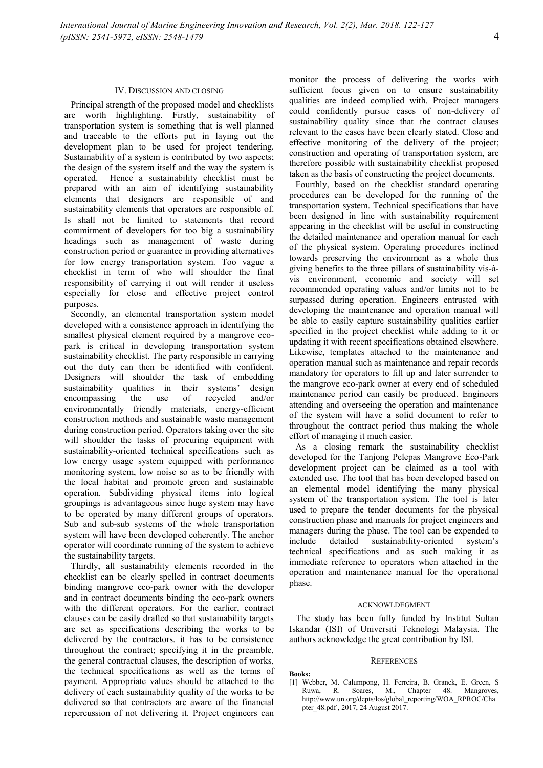Principal strength of the proposed model and checklists are worth highlighting. Firstly, sustainability of transportation system is something that is well planned and traceable to the efforts put in laying out the development plan to be used for project tendering. Sustainability of a system is contributed by two aspects; the design of the system itself and the way the system is operated. Hence a sustainability checklist must be prepared with an aim of identifying sustainability elements that designers are responsible of and sustainability elements that operators are responsible of. Is shall not be limited to statements that record commitment of developers for too big a sustainability headings such as management of waste during construction period or guarantee in providing alternatives for low energy transportation system. Too vague a checklist in term of who will shoulder the final responsibility of carrying it out will render it useless especially for close and effective project control purposes.

Secondly, an elemental transportation system model developed with a consistence approach in identifying the smallest physical element required by a mangrove ecopark is critical in developing transportation system sustainability checklist. The party responsible in carrying out the duty can then be identified with confident. Designers will shoulder the task of embedding sustainability qualities in their systems' design encompassing the use of recycled and/or environmentally friendly materials, energy-efficient construction methods and sustainable waste management during construction period. Operators taking over the site will shoulder the tasks of procuring equipment with sustainability-oriented technical specifications such as low energy usage system equipped with performance monitoring system, low noise so as to be friendly with the local habitat and promote green and sustainable operation. Subdividing physical items into logical groupings is advantageous since huge system may have to be operated by many different groups of operators. Sub and sub-sub systems of the whole transportation system will have been developed coherently. The anchor<br>energy include<br>include operator will coordinate running of the system to achieve the sustainability targets.

Thirdly, all sustainability elements recorded in the checklist can be clearly spelled in contract documents binding mangrove eco-park owner with the developer and in contract documents binding the eco-park owners with the different operators. For the earlier, contract clauses can be easily drafted so that sustainability targets are set as specifications describing the works to be delivered by the contractors. it has to be consistence throughout the contract; specifying it in the preamble, the general contractual clauses, the description of works, the technical specifications as well as the terms of payment. Appropriate values should be attached to the delivery of each sustainability quality of the works to be Ruwa, R. delivered so that contractors are aware of the financial repercussion of not delivering it. Project engineers can

monitor the process of delivering the works with sufficient focus given on to ensure sustainability qualities are indeed complied with. Project managers could confidently pursue cases of non-delivery of sustainability quality since that the contract clauses relevant to the cases have been clearly stated. Close and effective monitoring of the delivery of the project; construction and operating of transportation system, are therefore possible with sustainability checklist proposed taken as the basis of constructing the project documents.

Fourthly, based on the checklist standard operating procedures can be developed for the running of the transportation system. Technical specifications that have been designed in line with sustainability requirement appearing in the checklist will be useful in constructing the detailed maintenance and operation manual for each of the physical system. Operating procedures inclined towards preserving the environment as a whole thus giving benefits to the three pillars of sustainability vis-à vis environment, economic and society will set recommended operating values and/or limits not to be surpassed during operation. Engineers entrusted with developing the maintenance and operation manual will be able to easily capture sustainability qualities earlier specified in the project checklist while adding to it or updating it with recent specifications obtained elsewhere. Likewise, templates attached to the maintenance and operation manual such as maintenance and repair records mandatory for operators to fill up and later surrender to the mangrove eco-park owner at every end of scheduled maintenance period can easily be produced. Engineers attending and overseeing the operation and maintenance of the system will have a solid document to refer to throughout the contract period thus making the whole effort of managing it much easier.

As a closing remark the sustainability checklist developed for the Tanjong Pelepas Mangrove Eco-Park development project can be claimed as a tool with extended use. The tool that has been developed based on an elemental model identifying the many physical system of the transportation system. The tool is later used to prepare the tender documents for the physical construction phase and manuals for project engineers and managers during the phase. The tool can be expended to detailed sustainability-oriented system's technical specifications and as such making it as immediate reference to operators when attached in the operation and maintenance manual for the operational phase.

#### ACKNOWLDEGMENT

The study has been fully funded by Institut Sultan Iskandar (ISI) of Universiti Teknologi Malaysia. The authors acknowledge the great contribution by ISI.

#### **REFERENCES**

**Books:**

[1] Webber, M. Calumpong, H. Ferreira, B. Granek, E. Green, S Soares, M., Chapter 48. Mangroves, http://www.un.org/depts/los/global\_reporting/WOA\_RPROC/Cha pter\_48.pdf , 2017, 24 August 2017.